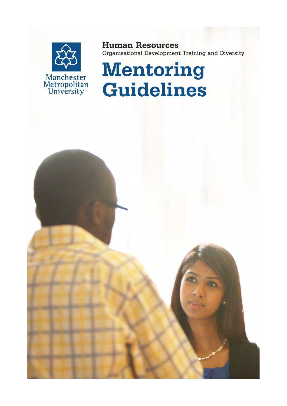

Human Resources Organisational Development Training and Diversity

# Mentoring Guidelines

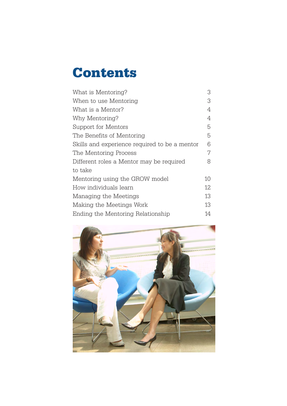# **Contents**

| What is Mentoring?                            | 3  |
|-----------------------------------------------|----|
| When to use Mentoring                         | 3  |
| What is a Mentor?                             | 4  |
| Why Mentoring?                                | 4  |
| Support for Mentors                           | 5  |
| The Benefits of Mentoring                     | 5  |
| Skills and experience required to be a mentor | 6  |
| The Mentoring Process                         | 7  |
| Different roles a Mentor may be required      | 8  |
| to take                                       |    |
| Mentoring using the GROW model                | 10 |
| How individuals learn                         | 12 |
| Managing the Meetings                         | 13 |
| Making the Meetings Work                      | 13 |
| Ending the Mentoring Relationship             | 14 |

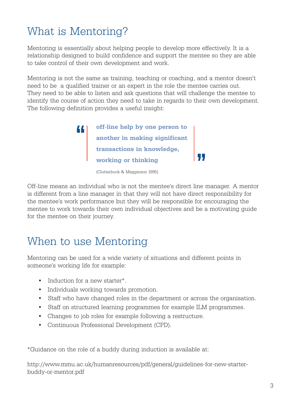# What is Mentoring?

Mentoring is essentially about helping people to develop more effectively. It is a relationship designed to build confidence and support the mentee so they are able to take control of their own development and work.

Mentoring is not the same as training, teaching or coaching, and a mentor doesn't need to be a qualified trainer or an expert in the role the mentee carries out. They need to be able to listen and ask questions that will challenge the mentee to identify the course of action they need to take in regards to their own development. The following definition provides a useful insight:



(Clutterbuck & Megginson 1995)

Off-line means an individual who is not the mentee's direct line manager. A mentor is different from a line manager in that they will not have direct responsibility for the mentee's work performance but they will be responsible for encouraging the mentee to work towards their own individual objectives and be a motivating guide for the mentee on their journey.

# When to use Mentoring

Mentoring can be used for a wide variety of situations and different points in someone's working life for example:

- Induction for a new starter<sup>\*</sup>.
- • Individuals working towards promotion.
- Staff who have changed roles in the department or across the organisation.
- Staff on structured learning programmes for example ILM programmes.
- Changes to job roles for example following a restructure.
- • Continuous Professional Development (CPD).

\*Guidance on the role of a buddy during induction is available at:

http://www.mmu.ac.uk/humanresources/pdf/general/guidelines-for-new-starterbuddy-or-mentor.pdf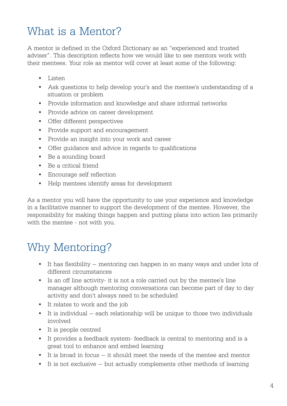# What is a Mentor?

A mentor is defined in the Oxford Dictionary as an "experienced and trusted adviser". This description reflects how we would like to see mentors work with their mentees. Your role as mentor will cover at least some of the following:

- • Listen
- Ask questions to help develop your's and the mentee's understanding of a situation or problem
- Provide information and knowledge and share informal networks
- • Provide advice on career development
- • Offer different perspectives
- • Provide support and encouragement
- • Provide an insight into your work and career
- • Offer guidance and advice in regards to qualifications
- Be a sounding board
- • Be a critical friend
- • Encourage self reflection
- • Help mentees identify areas for development

As a mentor you will have the opportunity to use your experience and knowledge in a facilitative manner to support the development of the mentee. However, the responsibility for making things happen and putting plans into action lies primarily with the mentee - not with you.

### Why Mentoring?

- It has flexibility mentoring can happen in so many ways and under lots of different circumstances
- • Is an off line activity- it is not a role carried out by the mentee's line manager although mentoring conversations can become part of day to day activity and don't always need to be scheduled
- • It relates to work and the job
- $\bullet$  It is individual each relationship will be unique to those two individuals involved
- • It is people centred
- It provides a feedback system-feedback is central to mentoring and is a great tool to enhance and embed learning
- $\bullet$  It is broad in focus  $-$  it should meet the needs of the mentee and mentor
- $\bullet$  It is not exclusive but actually complements other methods of learning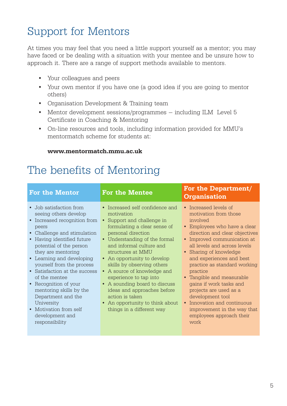# Support for Mentors

At times you may feel that you need a little support yourself as a mentor; you may have faced or be dealing with a situation with your mentee and be unsure how to approach it. There are a range of support methods available to mentors.

- • Your colleagues and peers
- Your own mentor if you have one (a good idea if you are going to mentor others)
- • Organisation Development & Training team
- Mentor development sessions/programmes including ILM Level 5 Certificate in Coaching & Mentoring
- • On-line resources and tools, including information provided for MMU's mentormatch scheme for students at:

#### www.mentormatch.mmu.ac.uk

### The benefits of Mentoring

| <b>For the Mentor</b>                                                                                                                                                                                                                                                                                                                                                                                                                                                      | For the Mentee                                                                                                                                                                                                                                                                                                                                                                                                                                                                                          | For the Department/<br><b>Organisation</b>                                                                                                                                                                                                                                                                                                                                                                                                                                                                       |
|----------------------------------------------------------------------------------------------------------------------------------------------------------------------------------------------------------------------------------------------------------------------------------------------------------------------------------------------------------------------------------------------------------------------------------------------------------------------------|---------------------------------------------------------------------------------------------------------------------------------------------------------------------------------------------------------------------------------------------------------------------------------------------------------------------------------------------------------------------------------------------------------------------------------------------------------------------------------------------------------|------------------------------------------------------------------------------------------------------------------------------------------------------------------------------------------------------------------------------------------------------------------------------------------------------------------------------------------------------------------------------------------------------------------------------------------------------------------------------------------------------------------|
| • Job satisfaction from<br>seeing others develop<br>• Increased recognition from<br>peers<br>• Challenge and stimulation<br>• Having identified future<br>potential of the person<br>they are mentoring<br>• Learning and developing<br>yourself from the process<br>• Satisfaction at the success<br>of the mentee<br>• Recognition of your<br>mentoring skills by the<br>Department and the<br>University<br>• Motivation from self<br>development and<br>responsibility | • Increased self confidence and<br>motivation<br>• Support and challenge in<br>formulating a clear sense of<br>personal direction<br>• Understanding of the formal<br>and informal culture and<br>structures at MMU<br>• An opportunity to develop<br>skills by observing others<br>A source of knowledge and<br>$\bullet$<br>experience to tap into<br>• A sounding board to discuss<br>ideas and approaches before<br>action is taken<br>• An opportunity to think about<br>things in a different way | • Increased levels of<br>motivation from those<br>involved<br>• Employees who have a clear<br>direction and clear objectives<br>• Improved communication at<br>all levels and across levels<br>• Sharing of knowledge<br>and experiences and best<br>practice as standard working<br>practice<br>• Tangible and measurable<br>gains if work tasks and<br>projects are used as a<br>development tool<br>Innovation and continuous<br>$\bullet$<br>improvement in the way that<br>employees approach their<br>work |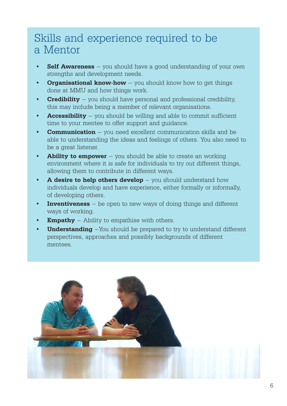### Skills and experience required to be a Mentor

- **Self Awareness** you should have a good understanding of your own strengths and development needs.
- **Organisational know-how** you should know how to get things done at MMU and how things work.
- **Credibility** you should have personal and professional credibility. this may include being a member of relevant organisations.
- **Accessibility** you should be willing and able to commit sufficient time to your mentee to offer support and guidance.
- **Communication** you need excellent communication skills and be able to understanding the ideas and feelings of others. You also need to be a great listener.
- **Ability to empower** you should be able to create an working environment where it is safe for individuals to try out different things, allowing them to contribute in different ways.
- A desire to help others develop  $-$  you should understand how individuals develop and have experience, either formally or informally, of developing others.
- **Inventiveness**  $-$  be open to new ways of doing things and different ways of working.
- **Empathy** Ability to empathise with others.
- **Understanding**  $-Y$ ou should be prepared to try to understand different perspectives, approaches and possibly backgrounds of different mentees.

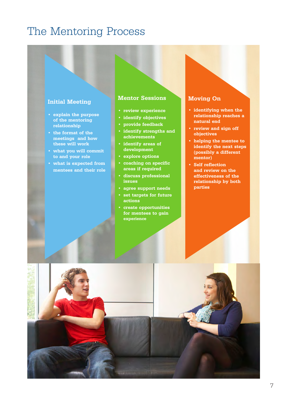#### The Mentoring Process

#### Initial Meeting

- • explain the purpose of the mentoring relationship
- • the format of the meetings and how these will work
- • what you will commit to and your role
- • what is expected from mentees and their role

#### Mentor Sessions

- • review experience
- identify objectives
- • provide feedback
- • identify strengths and achievements
- • identify areas of development
- explore options
- • coaching on specific areas if required
- • discuss professional issues
- agree support needs
- set targets for future actions
- create opportunities for mentees to gain experience

#### Moving On

- • identifying when the relationship reaches a natural end
- • review and sign off objectives
- • helping the mentee to identify the next steps (possibly a different mentor)
- • Self reflection and review on the effectiveness of the relationship by both parties

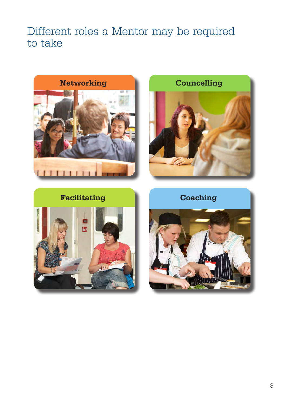#### Different roles a Mentor may be required to take







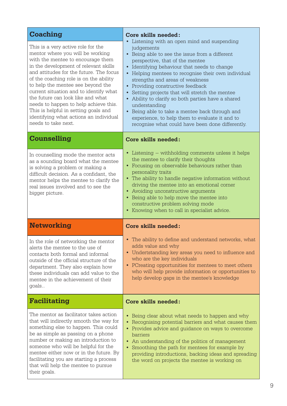| <b>Coaching</b>                                                                                                                                                                                                                                                                                                                                                                                                                                                                                                 | Core skills needed:                                                                                                                                                                                                                                                                                                                                                                                                                                                                                                                                                                                                         |
|-----------------------------------------------------------------------------------------------------------------------------------------------------------------------------------------------------------------------------------------------------------------------------------------------------------------------------------------------------------------------------------------------------------------------------------------------------------------------------------------------------------------|-----------------------------------------------------------------------------------------------------------------------------------------------------------------------------------------------------------------------------------------------------------------------------------------------------------------------------------------------------------------------------------------------------------------------------------------------------------------------------------------------------------------------------------------------------------------------------------------------------------------------------|
| This is a very active role for the<br>mentor where you will be working<br>with the mentee to encourage them<br>in the development of relevant skills<br>and attitudes for the future. The focus<br>of the coaching role is on the ability<br>to help the mentee see beyond the<br>current situation and to identify what<br>the future can look like and what<br>needs to happen to help achieve this.<br>This is helpful in setting goals and<br>identifying what actions an individual<br>needs to take next. | • Listening with an open mind and suspending<br>judgements<br>• Being able to see the issue from a different<br>perspective, that of the mentee<br>• Identifying behaviour that needs to change<br>• Helping mentees to recognise their own individual<br>strengths and areas of weakness<br>• Providing constructive feedback<br>Setting projects that will stretch the mentee<br>$\bullet$<br>• Ability to clarify so both parties have a shared<br>understanding<br>• Being able to take a mentee back through and<br>experience, to help them to evaluate it and to<br>recognise what could have been done differently. |
| <b>Counselling</b>                                                                                                                                                                                                                                                                                                                                                                                                                                                                                              | Core skills needed:                                                                                                                                                                                                                                                                                                                                                                                                                                                                                                                                                                                                         |
| In counselling mode the mentor acts<br>as a sounding board what the mentee<br>is solving a problem or making a<br>difficult decision. As a confidant, the<br>mentor helps the mentee to clarify the<br>real issues involved and to see the<br>bigger picture.                                                                                                                                                                                                                                                   | • Listening – withholding comments unless it helps<br>the mentee to clarify their thoughts<br>• Focusing on observable behaviours rather than<br>personality traits<br>The ability to handle negative information without<br>driving the mentee into an emotional corner<br>• Avoiding unconstructive arguments<br>• Being able to help move the mentee into<br>constructive problem solving mode<br>• Knowing when to call in specialist advice.                                                                                                                                                                           |
| <b>Networking</b>                                                                                                                                                                                                                                                                                                                                                                                                                                                                                               | Core skills needed:                                                                                                                                                                                                                                                                                                                                                                                                                                                                                                                                                                                                         |
| In the role of networking the mentor<br>alerts the mentee to the use of<br>contacts both formal and informal<br>outside of the official structure of the<br>department. They also explain how<br>these individuals can add value to the                                                                                                                                                                                                                                                                         | • The ability to define and understand networks, what<br>adds value and why<br>• Undertstanding key areas you need to influence and<br>who are the key individuals<br>• PCreating opportunities for mentees to meet others<br>who will help provide information or opportunities to                                                                                                                                                                                                                                                                                                                                         |
| mentee in the achievement of their<br>goals                                                                                                                                                                                                                                                                                                                                                                                                                                                                     | help develop gaps in the mentee's knowledge                                                                                                                                                                                                                                                                                                                                                                                                                                                                                                                                                                                 |
| Facilitating                                                                                                                                                                                                                                                                                                                                                                                                                                                                                                    | <b>Core skills needed:</b>                                                                                                                                                                                                                                                                                                                                                                                                                                                                                                                                                                                                  |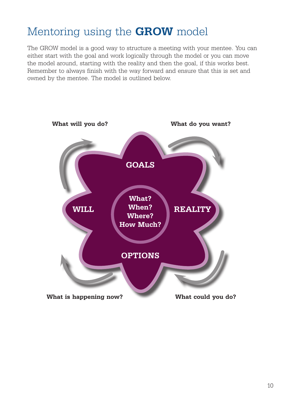# Mentoring using the **GROW** model

The GROW model is a good way to structure a meeting with your mentee. You can either start with the goal and work logically through the model or you can move the model around, starting with the reality and then the goal, if this works best. Remember to always finish with the way forward and ensure that this is set and owned by the mentee. The model is outlined below.

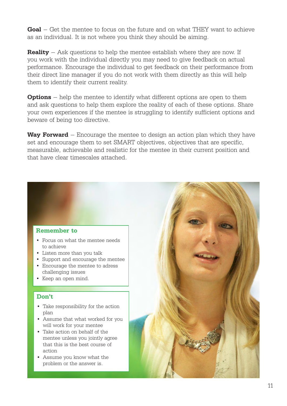Goal – Get the mentee to focus on the future and on what THEY want to achieve as an individual. It is not where you think they should be aiming.

**Reality** – Ask questions to help the mentee establish where they are now. If you work with the individual directly you may need to give feedback on actual performance. Encourage the individual to get feedback on their performance from their direct line manager if you do not work with them directly as this will help them to identify their current reality.

**Options** – help the mentee to identify what different options are open to them and ask questions to help them explore the reality of each of these options. Share your own experiences if the mentee is struggling to identify sufficient options and beware of being too directive.

**Way Forward** – Encourage the mentee to design an action plan which they have set and encourage them to set SMART objectives, objectives that are specific, measurable, achievable and realistic for the mentee in their current position and that have clear timescales attached.

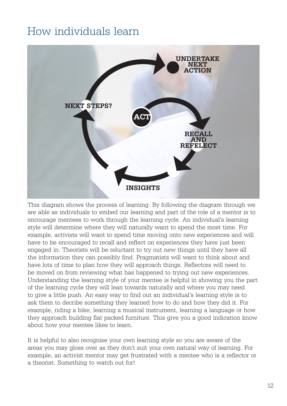### How individuals learn



This diagram shows the process of learning. By following the diagram through we are able as individuals to embed our learning and part of the role of a mentor is to encourage mentees to work through the learning cycle. An individual's learning style will determine where they will naturally want to spend the most time. For example, activists will want to spend time moving onto new experiences and will have to be encouraged to recall and reflect on experiences they have just been engaged in. Theorists will be reluctant to try out new things until they have all the information they can possibly find. Pragmatists will want to think about and have lots of time to plan how they will approach things. Reflectors will need to be moved on from reviewing what has happened to trying out new experiences. Understanding the learning style of your mentee is helpful in showing you the part of the learning cycle they will lean towards naturally and where you may need to give a little push. An easy way to find out an individual's learning style is to ask them to decribe something they learned how to do and how they did it. For example, riding a bike, learning a musical instrument, learning a language or how they approach building flat packed furniture. This give you a good indication know about how your mentee likes to learn.

It is helpful to also recognise your own learning style so you are aware of the areas you may gloss over as they don't suit your own natural way of learning. For example, an activist mentor may get frustrated with a mentee who is a reflector or a theorist. Something to watch out for!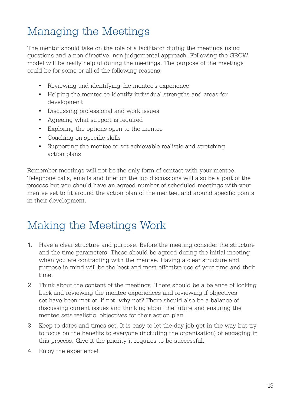# Managing the Meetings

The mentor should take on the role of a facilitator during the meetings using questions and a non directive, non judgemental approach. Following the GROW model will be really helpful during the meetings. The purpose of the meetings could be for some or all of the following reasons:

- • Reviewing and identifying the mentee's experience
- Helping the mentee to identify individual strengths and areas for development
- • Discussing professional and work issues
- Agreeing what support is required
- • Exploring the options open to the mentee
- • Coaching on specific skills
- • Supporting the mentee to set achievable realistic and stretching action plans

Remember meetings will not be the only form of contact with your mentee. Telephone calls, emails and brief on the job discussions will also be a part of the process but you should have an agreed number of scheduled meetings with your mentee set to fit around the action plan of the mentee, and around specific points in their development.

### Making the Meetings Work

- 1. Have a clear structure and purpose. Before the meeting consider the structure and the time parameters. These should be agreed during the initial meeting when you are contracting with the mentee. Having a clear structure and purpose in mind will be the best and most effective use of your time and their time.
- 2. Think about the content of the meetings. There should be a balance of looking back and reviewing the mentee experiences and reviewing if objectives set have been met or, if not, why not? There should also be a balance of discussing current issues and thinking about the future and ensuring the mentee sets realistic objectives for their action plan.
- 3. Keep to dates and times set. It is easy to let the day job get in the way but try to focus on the benefits to everyone (including the organisation) of engaging in this process. Give it the priority it requires to be successful.
- 4. Enjoy the experience!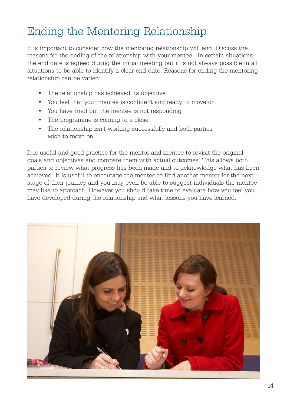# Ending the Mentoring Relationship

It is important to consider how the mentoring relationship will end. Discuss the reasons for the ending of the relationship with your mentee. In certain situations the end date is agreed during the initial meeting but it is not always possible in all situations to be able to identify a clear end date. Reasons for ending the mentoring relationship can be varied:

- • The relationship has achieved its objective
- • You feel that your mentee is confident and ready to move on
- • You have tried but the mentee is not responding
- The programme is coming to a close
- The relationship isn't working successfully and both parties wish to move on.

It is useful and good practice for the mentor and mentee to revisit the original goals and objectives and compare them with actual outcomes. This allows both parties to review what progress has been made and to acknowledge what has been achieved. It is useful to encourage the mentee to find another mentor for the next stage of their journey and you may even be able to suggest individuals the mentee may like to approach. However you should take time to evaluate how you feel you have developed during the relationship and what lessons you have learned.